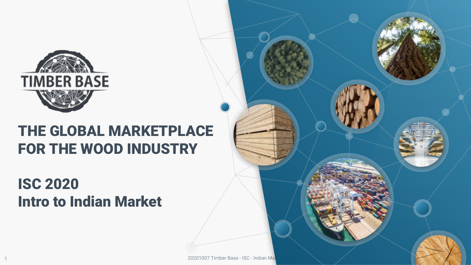

1

### THE GLOBAL MARKETPLACE FOR THE WOOD INDUSTRY

### ISC 2020 Intro to Indian Market





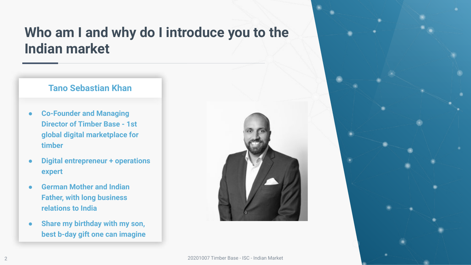#### **Who am I and why do I introduce you to the Indian market**

#### **Tano Sebastian Khan**

- **● Co-Founder and Managing Director of Timber Base - 1st global digital marketplace for timber**
- **● Digital entrepreneur + operations expert**
- **● German Mother and Indian Father, with long business relations to India**
- **● Share my birthday with my son, best b-day gift one can imagine**

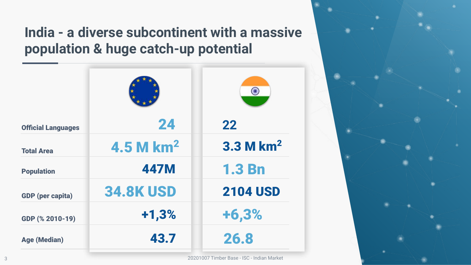#### **India - a diverse subcontinent with a massive population & huge catch-up potential**

|                           |                         | O               |
|---------------------------|-------------------------|-----------------|
| <b>Official Languages</b> | 24                      | 22              |
| <b>Total Area</b>         | $4.5$ M km <sup>2</sup> | $3.3$ M $km2$   |
| <b>Population</b>         | <b>447M</b>             | <b>1.3 Bn</b>   |
| <b>GDP</b> (per capita)   | <b>34.8K USD</b>        | <b>2104 USD</b> |
| GDP (% 2010-19)           | $+1,3%$                 | $+6,3%$         |
| <b>Age (Median)</b>       | 43.7                    | 26.8            |

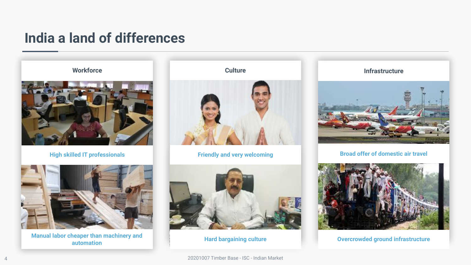#### **India a land of differences**

**Workforce**



**High skilled IT professionals**



**Manual labor cheaper than machinery and automation**<br>automation automation





**Hard bargaining culture**

**Culture Infrastructure** 



**Friendly and very welcoming The Comes of the Broad offer of domestic air travel** 

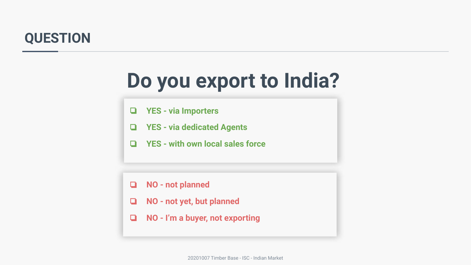#### **QUESTION**

# **Do you export to India?**

- ❏ **YES via Importers**
- ❏ **YES via dedicated Agents**
- ❏ **YES with own local sales force**

- ❏ **NO not planned**
- ❏ **NO not yet, but planned**
- ❏ **NO I'm a buyer, not exporting**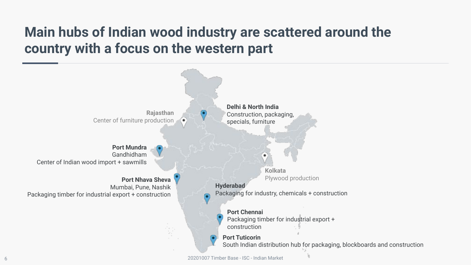#### **Main hubs of Indian wood industry are scattered around the country with a focus on the western part**

**Delhi & North India Rajasthan** Construction, packaging, Center of furniture productionspecials, furniture ٠ **Port Mundra** Gandhidham Center of Indian wood import + sawmills **Kolkata** Plywood production **Port Nhava Sheva Hyderabad** Mumbai, Pune, Nashik Packaging for industry, chemicals + construction Packaging timber for industrial export + construction **Port Chennai** Packaging timber for industrial export + construction **Port Tuticorin** South Indian distribution hub for packaging, blockboards and construction 20201007 Timber Base - ISC - Indian Market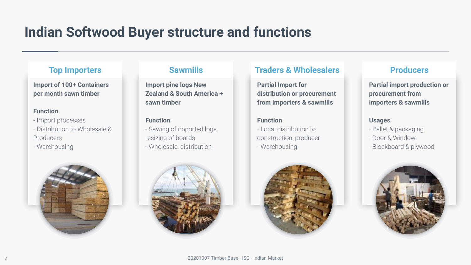#### **Indian Softwood Buyer structure and functions**

**Import of 100+ Containers per month sawn timber**

#### **Function**

- Import processes
- Distribution to Wholesale & Producers
- Warehousing



**Import pine logs New Zealand & South America + sawn timber**

#### **Function**:

- Sawing of imported logs, resizing of boards
- Wholesale, distribution

#### **Top Importers Sawmills Traders & Wholesalers Producers**

**Partial Import for distribution or procurement from importers & sawmills**

#### **Function**

- Local distribution to construction, producer - Warehousing





**Partial import production or procurement from importers & sawmills**

#### **Usages**:

- Pallet & packaging
- Door & Window
- Blockboard & plywood

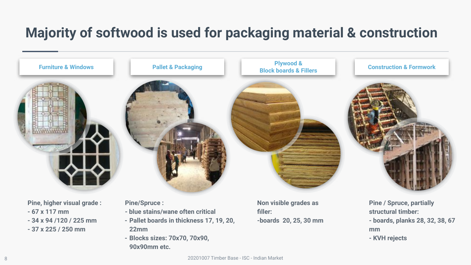#### **Majority of softwood is used for packaging material & construction**



- **67 x 117 mm**
- **34 x 94 /120 / 225 mm**
- **37 x 225 / 250 mm**
- **blue stains/wane often critical**
- **- Pallet boards in thickness 17, 19, 20, 22mm**
- **- Blocks sizes: 70x70, 70x90, 90x90mm etc.**

**filler: -boards 20, 25, 30 mm** **structural timber: - boards, planks 28, 32, 38, 67 mm - KVH rejects**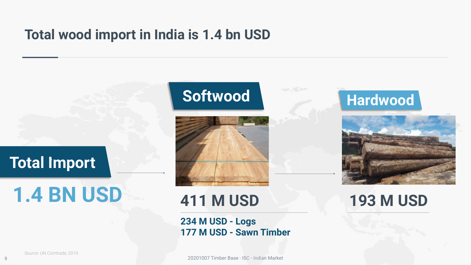#### **Total wood import in India is 1.4 bn USD**

### ` **Total Import**

# **1.4 BN USD**

9

## ` **Softwood**

on the se



### **411 M USD**

**234 M USD - Logs 177 M USD - Sawn Timber**

20201007 Timber Base - ISC - Indian Market





### **193 M USD**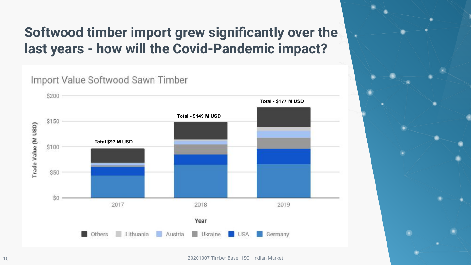### **Softwood timber import grew significantly over the last years - how will the Covid-Pandemic impact?**

Import Value Softwood Sawn Timber \$200 **Total - \$177 M USD Total - \$149 M USD**\$150 Trade Value (M USD) **Total \$97 M USD** \$100 \$50 \$O 2017 2018 2019 Year Lithuania Austria Others Ukraine Germany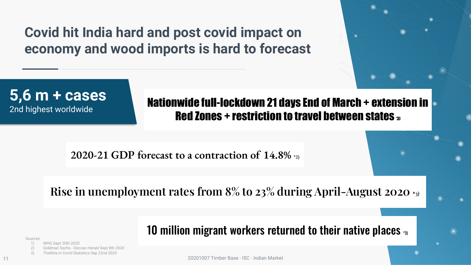#### **Covid hit India hard and post covid impact on economy and wood imports is hard to forecast**



## **5,6 m + cases**

2nd highest worldwide

Nationwide full-lockdown 21 days End of March + extension in Red Zones + restriction to travel between states  $_3$ 

**2020-21 GDP forecast to a contraction of 14.8% \*2)**

**Rise in unemployment rates from 8% to 23% during April-August 2020 \*3)**

10 million migrant workers returned to their native places  $\mathbf{I}_3$ 

Sources:

11

1) WHO Sept 20th 2020

2) Goldman Sachs - Deccan Herald Sept 8th 2020

3) TheWire.in Covid Statistics Sep 22nd 2020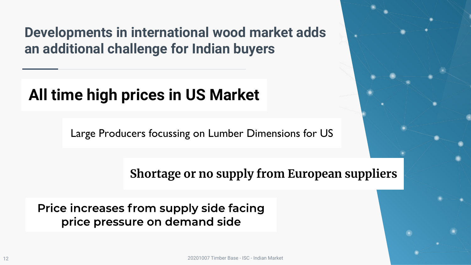**Developments in international wood market adds an additional challenge for Indian buyers**

## **All time high prices in US Market**

Large Producers focussing on Lumber Dimensions for US

**Shortage or no supply from European suppliers**

Price increases from supply side facing price pressure on demand side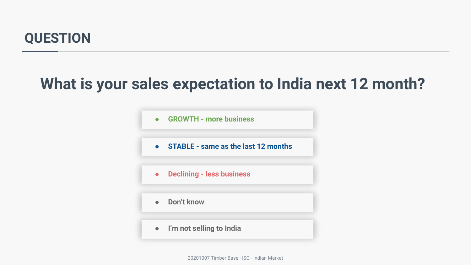#### **QUESTION**

### **What is your sales expectation to India next 12 month?**

**● GROWTH - more business ● STABLE - same as the last 12 months ● Declining - less business ● Don't know ● I'm not selling to India**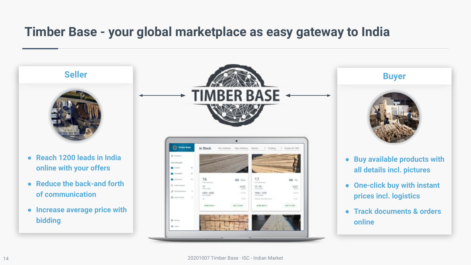#### **Timber Base - your global marketplace as easy gateway to India**

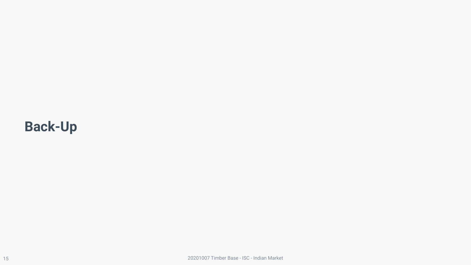### **Back-Up**